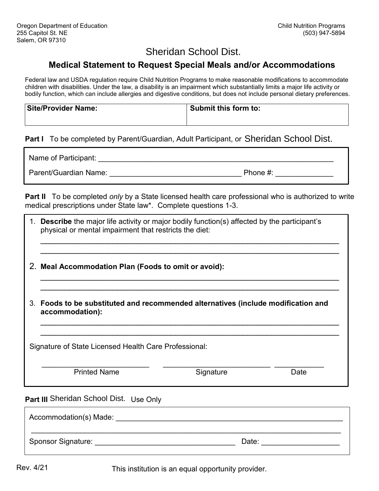## Sheridan School Dist.

## **Medical Statement to Request Special Meals and/or Accommodations**

Federal law and USDA regulation require Child Nutrition Programs to make reasonable modifications to accommodate children with disabilities. Under the law, a disability is an impairment which substantially limits a major life activity or bodily function, which can include allergies and digestive conditions, but does not include personal dietary preferences.

| <b>Site/Provider Name:</b> | Submit this form to: |
|----------------------------|----------------------|
|                            |                      |

## Part I To be completed by Parent/Guardian, Adult Participant, or Sheridan School Dist.

Name of Participant: \_\_\_\_\_\_\_\_\_\_\_\_\_\_\_\_\_\_\_\_\_\_\_\_\_\_\_\_\_\_\_\_\_\_\_\_\_\_\_\_\_\_\_\_\_\_\_\_\_\_\_\_\_\_\_\_\_

Parent/Guardian Name: \_\_\_\_\_\_\_\_\_\_\_\_\_\_\_\_\_\_\_\_\_\_\_\_\_\_\_\_\_\_\_\_ Phone #: \_\_\_\_\_\_\_\_\_\_\_\_\_\_

**Part II** To be completed *only* by a State licensed health care professional who is authorized to write medical prescriptions under State law\*. Complete questions 1-3.

|                                                                                                      | 1. Describe the major life activity or major bodily function(s) affected by the participant's<br>physical or mental impairment that restricts the diet: |           |      |  |  |
|------------------------------------------------------------------------------------------------------|---------------------------------------------------------------------------------------------------------------------------------------------------------|-----------|------|--|--|
|                                                                                                      | 2. Meal Accommodation Plan (Foods to omit or avoid):                                                                                                    |           |      |  |  |
| 3. Foods to be substituted and recommended alternatives (include modification and<br>accommodation): |                                                                                                                                                         |           |      |  |  |
|                                                                                                      | Signature of State Licensed Health Care Professional:                                                                                                   |           |      |  |  |
|                                                                                                      | <b>Printed Name</b>                                                                                                                                     | Signature | Date |  |  |
|                                                                                                      | <b>Part III</b> Sheridan School Dist. Use Only                                                                                                          |           |      |  |  |
|                                                                                                      | Accommodation(s) Made:                                                                                                                                  |           |      |  |  |

Sponsor Signature: <br>
Sponsor Signature: 
and the set of the set of the set of the set of the set of the set of the set of the set o

This institution is an equal opportunity provider.